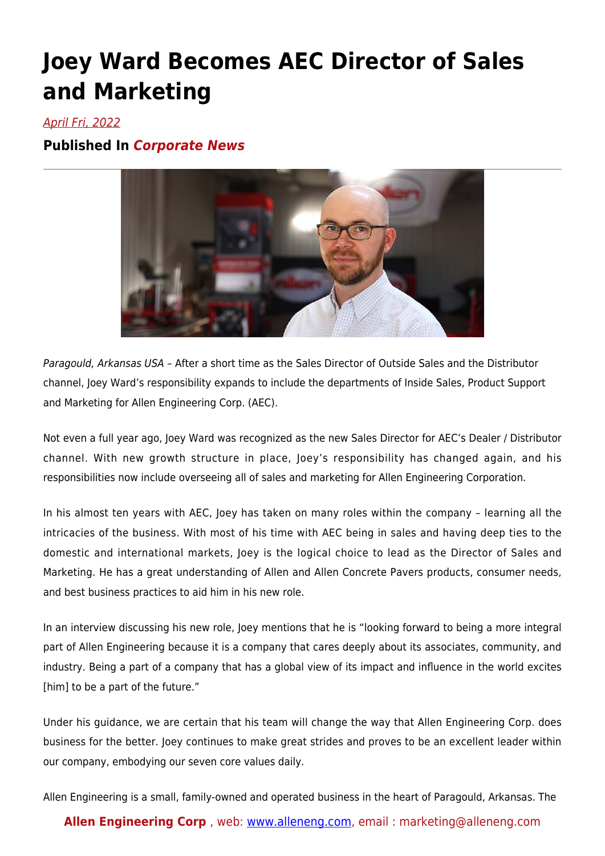## **Joey Ward Becomes AEC Director of Sales and Marketing**

## April Fri, 2022

## **Published In** *Corporate News*



Paragould, Arkansas USA – After a short time as the Sales Director of Outside Sales and the Distributor channel, Joey Ward's responsibility expands to include the departments of Inside Sales, Product Support and Marketing for Allen Engineering Corp. (AEC).

Not even a full year ago, Joey Ward was recognized as the new Sales Director for AEC's Dealer / Distributor channel. With new growth structure in place, Joey's responsibility has changed again, and his responsibilities now include overseeing all of sales and marketing for Allen Engineering Corporation.

In his almost ten years with AEC, Joey has taken on many roles within the company – learning all the intricacies of the business. With most of his time with AEC being in sales and having deep ties to the domestic and international markets, Joey is the logical choice to lead as the Director of Sales and Marketing. He has a great understanding of Allen and Allen Concrete Pavers products, consumer needs, and best business practices to aid him in his new role.

In an interview discussing his new role, Joey mentions that he is "looking forward to being a more integral part of Allen Engineering because it is a company that cares deeply about its associates, community, and industry. Being a part of a company that has a global view of its impact and influence in the world excites [him] to be a part of the future."

Under his guidance, we are certain that his team will change the way that Allen Engineering Corp. does business for the better. Joey continues to make great strides and proves to be an excellent leader within our company, embodying our seven core values daily.

Allen Engineering is a small, family-owned and operated business in the heart of Paragould, Arkansas. The

## **Allen Engineering Corp** , web: [www.alleneng.com,](http://alleneng.com) email : marketing@alleneng.com